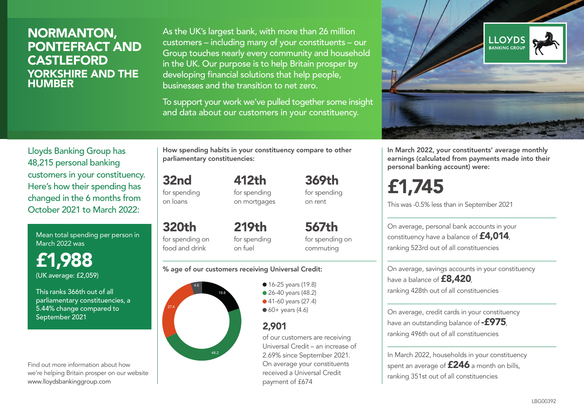### NORMANTON, PONTEFRACT AND **CASTLEFORD** YORKSHIRE AND THE **HUMBER**

As the UK's largest bank, with more than 26 million customers – including many of your constituents – our Group touches nearly every community and household in the UK. Our purpose is to help Britain prosper by developing financial solutions that help people, businesses and the transition to net zero.

To support your work we've pulled together some insight and data about our customers in your constituency.



Mean total spending per person in March 2022 was

£1,988 (UK average: £2,059)

This ranks 366th out of all parliamentary constituencies, a 5.44% change compared to September 2021

Find out more information about how we're helping Britain prosper on our website www.lloydsbankinggroup.com

How spending habits in your constituency compare to other parliamentary constituencies:

32nd for spending on loans

320th

for spending on mortgages

412th

369th for spending on rent

for spending on food and drink 219th for spending on fuel

567th for spending on commuting

#### % age of our customers receiving Universal Credit:



**16-25 years (19.8)** ● 26-40 years (48.2) ● 41-60 years (27.4)  $60+$  years (4.6)

### 2,901

of our customers are receiving Universal Credit – an increase of 2.69% since September 2021. On average your constituents received a Universal Credit payment of £674



In March 2022, your constituents' average monthly earnings (calculated from payments made into their personal banking account) were:

# £1,745

This was -0.5% less than in September 2021

On average, personal bank accounts in your constituency have a balance of £4,014, ranking 523rd out of all constituencies

On average, savings accounts in your constituency have a balance of **£8,420** ranking 428th out of all constituencies

On average, credit cards in your constituency have an outstanding balance of  $-$ £975, ranking 496th out of all constituencies

In March 2022, households in your constituency spent an average of £246 a month on bills, ranking 351st out of all constituencies